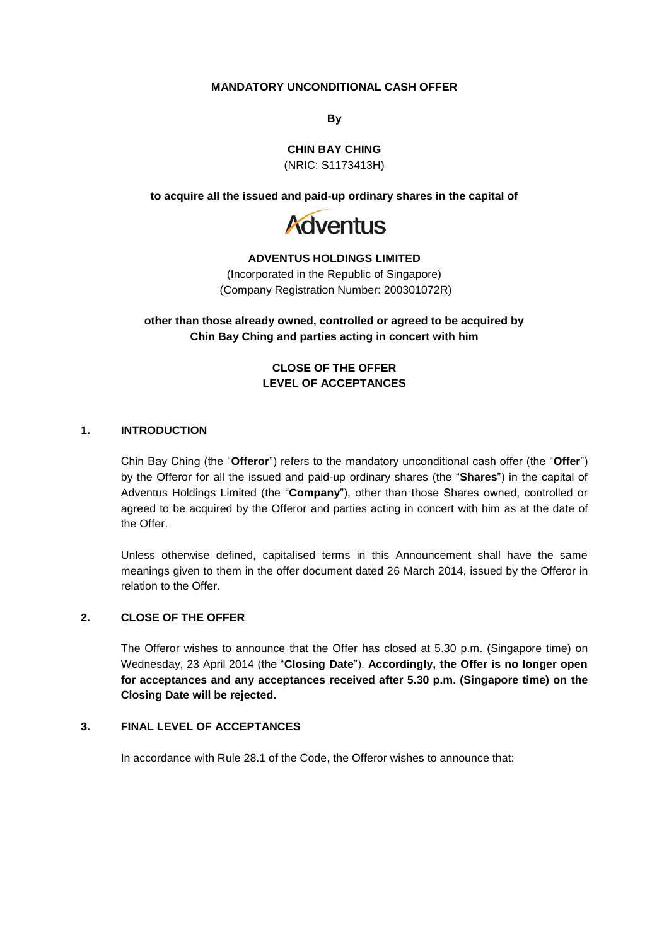### **MANDATORY UNCONDITIONAL CASH OFFER**

**By**

**CHIN BAY CHING**

(NRIC: S1173413H)

**to acquire all the issued and paid-up ordinary shares in the capital of**



#### **ADVENTUS HOLDINGS LIMITED**

(Incorporated in the Republic of Singapore) (Company Registration Number: 200301072R)

**other than those already owned, controlled or agreed to be acquired by Chin Bay Ching and parties acting in concert with him**

> **CLOSE OF THE OFFER LEVEL OF ACCEPTANCES**

#### **1. INTRODUCTION**

Chin Bay Ching (the "**Offeror**") refers to the mandatory unconditional cash offer (the "**Offer**") by the Offeror for all the issued and paid-up ordinary shares (the "**Shares**") in the capital of Adventus Holdings Limited (the "**Company**"), other than those Shares owned, controlled or agreed to be acquired by the Offeror and parties acting in concert with him as at the date of the Offer.

Unless otherwise defined, capitalised terms in this Announcement shall have the same meanings given to them in the offer document dated 26 March 2014, issued by the Offeror in relation to the Offer.

# **2. CLOSE OF THE OFFER**

The Offeror wishes to announce that the Offer has closed at 5.30 p.m. (Singapore time) on Wednesday, 23 April 2014 (the "**Closing Date**"). **Accordingly, the Offer is no longer open for acceptances and any acceptances received after 5.30 p.m. (Singapore time) on the Closing Date will be rejected.**

### **3. FINAL LEVEL OF ACCEPTANCES**

In accordance with Rule 28.1 of the Code, the Offeror wishes to announce that: